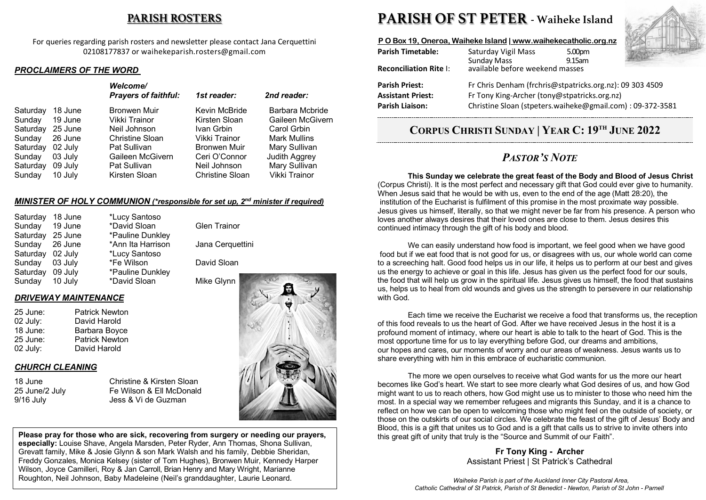## **PARISH ROSTERS**

For queries regarding parish rosters and newsletter please contact Jana Cerquettini 02108177837 or waihekeparish.rosters@gmail.com

### *PROCLAIMERS OF THE WORD*

|                                                                                                                                                                                                                                                                                                                                                                                                                                                                                                                            |          |         | <b>Welcome/</b><br><b>Prayers of faithful:</b> | 1st reader:   | 2nd reader:                         |
|----------------------------------------------------------------------------------------------------------------------------------------------------------------------------------------------------------------------------------------------------------------------------------------------------------------------------------------------------------------------------------------------------------------------------------------------------------------------------------------------------------------------------|----------|---------|------------------------------------------------|---------------|-------------------------------------|
| 19 June<br>Sunday<br>Vikki Trainor<br>Kirsten Sloan<br>Saturday<br>25 June<br>Neil Johnson<br>Carol Grbin<br>Ivan Grbin<br>Vikki Trainor<br><b>Mark Mullins</b><br>Christine Sloan<br>26 June<br>Sunday<br>Bronwen Muir<br>Saturday<br>02 July<br>Pat Sullivan<br>Mary Sullivan<br><b>Judith Aggrey</b><br>Gaileen McGivern<br>Ceri O'Connor<br>03 July<br>Sunday<br>Mary Sullivan<br>Neil Johnson<br>09 July<br>Pat Sullivan<br>Saturday<br>Vikki Trainor<br>10 July<br>Kirsten Sloan<br><b>Christine Sloan</b><br>Sunday | Saturday | 18 June | <b>Bronwen Muir</b>                            | Kevin McBride | Barbara Mcbride<br>Gaileen McGivern |

### *MINISTER OF HOLY COMMUNION (\*responsible for set up, 2nd minister if required)*

| Saturday | 18 June | *Lucy Santoso     |                     |
|----------|---------|-------------------|---------------------|
| Sunday   | 19 June | *David Sloan      | <b>Glen Trainor</b> |
| Saturday | 25 June | *Pauline Dunkley  |                     |
| Sunday   | 26 June | *Ann Ita Harrison | Jana Cerquettini    |
| Saturday | 02 July | *Lucy Santoso     |                     |
| Sunday   | 03 July | *Fe Wilson        | David Sloan         |
| Saturday | 09 July | *Pauline Dunkley  |                     |
| Sunday   | 10 July | *David Sloan      | Mike Glynn          |
|          |         |                   |                     |

### *DRIVEWAY MAINTENANCE*

| 25 June: | <b>Patrick Newton</b> |
|----------|-----------------------|
| 02 July: | David Harold          |
| 18 June: | Barbara Boyce         |
| 25 June: | <b>Patrick Newton</b> |
| 02 July: | David Harold          |

## *CHURCH CLEANING*

| 18 June        |  |
|----------------|--|
| 25 June/2 July |  |
| 9/16 Julv      |  |

Christine & Kirsten Sloan v Fe Wilson & Ell McDonald Jess & Vi de Guzman



**Please pray for those who are sick, recovering from surgery or needing our prayers, especially:** Louise Shave, Angela Marsden, Peter Ryder, Ann Thomas, Shona Sullivan, Grevatt family, Mike & Josie Glynn & son Mark Walsh and his family, Debbie Sheridan, Freddy Gonzales, Monica Kelsey (sister of Tom Hughes), Bronwen Muir, Kennedy Harper Wilson, Joyce Camilleri, Roy & Jan Carroll, Brian Henry and Mary Wright, Marianne Roughton, Neil Johnson, Baby Madeleine (Neil's granddaughter, Laurie Leonard. .

# **PARISH OF ST PETER - Waiheke Island**

### **P O Box 19, Oneroa, Waiheke Island | www.waihekecatholic.org.nz**

| <b>Parish Timetable:</b>      | Saturday Vigil Mass<br><b>Sunday Mass</b>                 | 5.00pm<br>9.15am |  |  |
|-------------------------------|-----------------------------------------------------------|------------------|--|--|
| <b>Reconciliation Rite I:</b> | available before weekend masses                           |                  |  |  |
| <b>Parish Priest:</b>         | Fr Chris Denham (frchris@stpatricks.org.nz): 09 303 4509  |                  |  |  |
| <b>Assistant Priest:</b>      | Fr Tony King-Archer (tony@stpatricks.org.nz)              |                  |  |  |
| <b>Parish Liaison:</b>        | Christine Sloan (stpeters.waiheke@gmail.com): 09-372-3581 |                  |  |  |

## **CORPUS CHRISTI SUNDAY | YEAR C: 19TH JUNE 2022**

## *PASTOR'S NOTE*

**This Sunday we celebrate the great feast of the Body and Blood of Jesus Christ** (Corpus Christi). It is the most perfect and necessary gift that God could ever give to humanity. When Jesus said that he would be with us, even to the end of the age (Matt 28:20), the institution of the Eucharist is fulfilment of this promise in the most proximate way possible. Jesus gives us himself, literally, so that we might never be far from his presence. A person who loves another always desires that their loved ones are close to them. Jesus desires this continued intimacy through the gift of his body and blood.

We can easily understand how food is important, we feel good when we have good food but if we eat food that is not good for us, or disagrees with us, our whole world can come to a screeching halt. Good food helps us in our life, it helps us to perform at our best and gives us the energy to achieve or goal in this life. Jesus has given us the perfect food for our souls, the food that will help us grow in the spiritual life. Jesus gives us himself, the food that sustains us, helps us to heal from old wounds and gives us the strength to persevere in our relationship with God.

Each time we receive the Eucharist we receive a food that transforms us, the reception of this food reveals to us the heart of God. After we have received Jesus in the host it is a profound moment of intimacy, where our heart is able to talk to the heart of God. This is the most opportune time for us to lay everything before God, our dreams and ambitions, our hopes and cares, our moments of worry and our areas of weakness. Jesus wants us to share everything with him in this embrace of eucharistic communion.

The more we open ourselves to receive what God wants for us the more our heart becomes like God's heart. We start to see more clearly what God desires of us, and how God might want to us to reach others, how God might use us to minister to those who need him the most. In a special way we remember refugees and migrants this Sunday, and it is a chance to reflect on how we can be open to welcoming those who might feel on the outside of society, or those on the outskirts of our social circles. We celebrate the feast of the gift of Jesus' Body and Blood, this is a gift that unites us to God and is a gift that calls us to strive to invite others into this great gift of unity that truly is the "Source and Summit of our Faith".

## **Fr Tony King - Archer** Assistant Priest | St Patrick's Cathedral